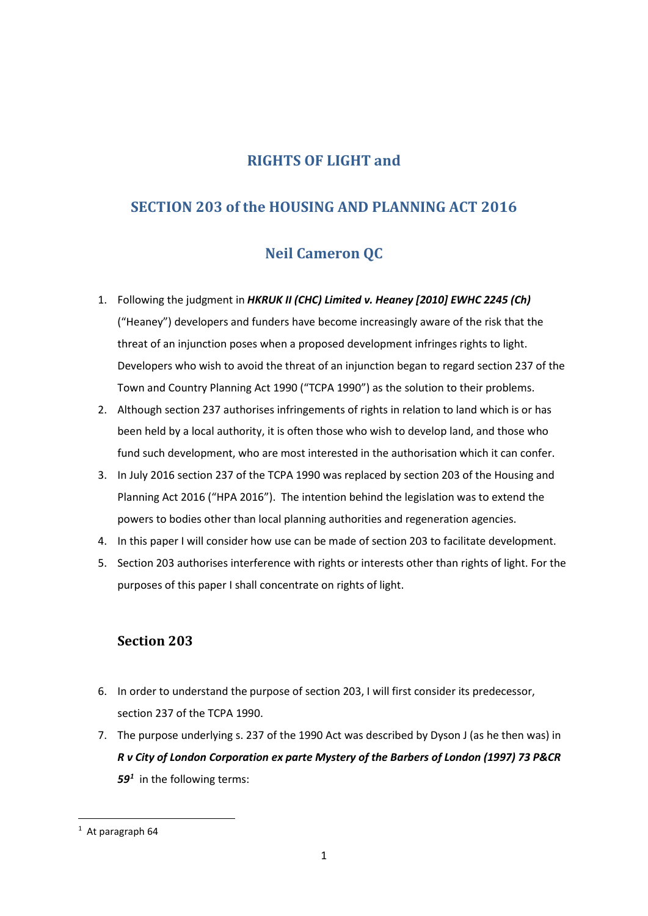# **RIGHTS OF LIGHT and**

# **SECTION 203 of the HOUSING AND PLANNING ACT 2016**

# **Neil Cameron QC**

- 1. Following the judgment in *HKRUK II (CHC) Limited v. Heaney [2010] EWHC 2245 (Ch)* ("Heaney") developers and funders have become increasingly aware of the risk that the threat of an injunction poses when a proposed development infringes rights to light. Developers who wish to avoid the threat of an injunction began to regard section 237 of the Town and Country Planning Act 1990 ("TCPA 1990") as the solution to their problems.
- 2. Although section 237 authorises infringements of rights in relation to land which is or has been held by a local authority, it is often those who wish to develop land, and those who fund such development, who are most interested in the authorisation which it can confer.
- 3. In July 2016 section 237 of the TCPA 1990 was replaced by section 203 of the Housing and Planning Act 2016 ("HPA 2016"). The intention behind the legislation was to extend the powers to bodies other than local planning authorities and regeneration agencies.
- 4. In this paper I will consider how use can be made of section 203 to facilitate development.
- 5. Section 203 authorises interference with rights or interests other than rights of light. For the purposes of this paper I shall concentrate on rights of light.

## **Section 203**

- 6. In order to understand the purpose of section 203, I will first consider its predecessor, section 237 of the TCPA 1990.
- 7. The purpose underlying s. 237 of the 1990 Act was described by Dyson J (as he then was) in *R v City of London Corporation ex parte Mystery of the Barbers of London (1997) 73 P&CR 59[1](#page-0-0)* in the following terms:

<span id="page-0-0"></span> $1$  At paragraph 64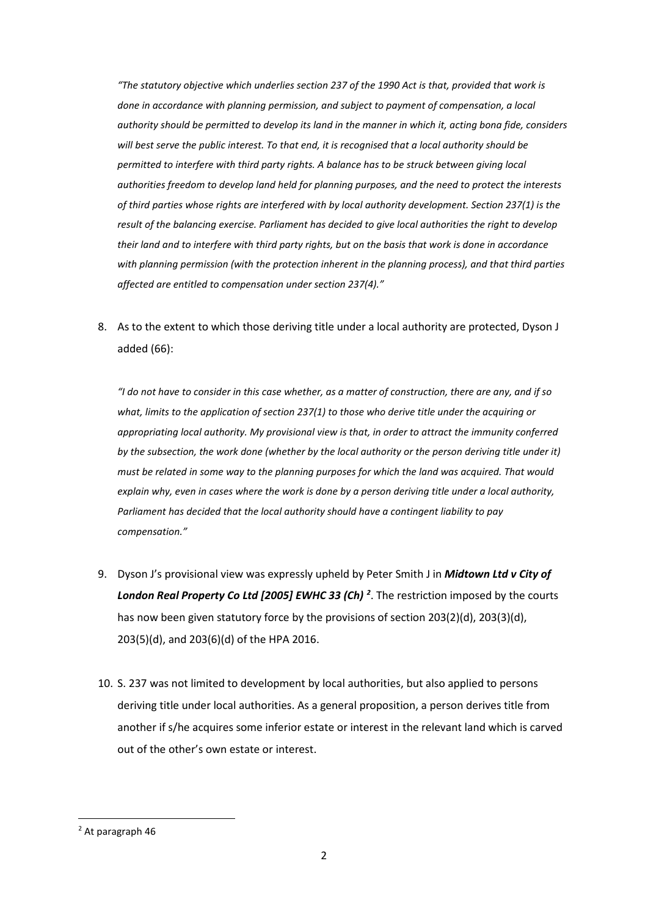*"The statutory objective which underlies [section 237](http://login.westlaw.co.uk/maf/wluk/app/document?src=doc&linktype=ref&context=179&crumb-action=replace&docguid=I11F2C060E44C11DA8D70A0E70A78ED65) of the 1990 Act is that, provided that work is done in accordance with planning permission, and subject to payment of compensation, a local authority should be permitted to develop its land in the manner in which it, acting bona fide, considers will best serve the public interest. To that end, it is recognised that a local authority should be permitted to interfere with third party rights. A balance has to be struck between giving local authorities freedom to develop land held for planning purposes, and the need to protect the interests of third parties whose rights are interfered with by local authority development. [Section 237\(1\)](http://login.westlaw.co.uk/maf/wluk/app/document?src=doc&linktype=ref&context=179&crumb-action=replace&docguid=I11F2C060E44C11DA8D70A0E70A78ED65) is the result of the balancing exercise. Parliament has decided to give local authorities the right to develop their land and to interfere with third party rights, but on the basis that work is done in accordance with planning permission (with the protection inherent in the planning process), and that third parties affected are entitled to compensation under [section 237\(4\).](http://login.westlaw.co.uk/maf/wluk/app/document?src=doc&linktype=ref&context=179&crumb-action=replace&docguid=I11F2C060E44C11DA8D70A0E70A78ED65)"* 

8. As to the extent to which those deriving title under a local authority are protected, Dyson J added (66):

*"I do not have to consider in this case whether, as a matter of construction, there are any, and if so what, limits to the application of [section 237\(1\)](http://login.westlaw.co.uk/maf/wluk/app/document?src=doc&linktype=ref&context=183&crumb-action=replace&docguid=I11F2C060E44C11DA8D70A0E70A78ED65) to those who derive title under the acquiring or appropriating local authority. My provisional view is that, in order to attract the immunity conferred by the subsection, the work done (whether by the local authority or the person deriving title under it) must be related in some way to the planning purposes for which the land was acquired. That would explain why, even in cases where the work is done by a person deriving title under a local authority, Parliament has decided that the local authority should have a contingent liability to pay compensation."*

- 9. Dyson J's provisional view was expressly upheld by Peter Smith J in *Midtown Ltd v City of London Real Property Co Ltd [2005] EWHC 33 (Ch) [2](#page-1-0)* . The restriction imposed by the courts has now been given statutory force by the provisions of section 203(2)(d), 203(3)(d), 203(5)(d), and 203(6)(d) of the HPA 2016.
- 10. S. 237 was not limited to development by local authorities, but also applied to persons deriving title under local authorities. As a general proposition, a person derives title from another if s/he acquires some inferior estate or interest in the relevant land which is carved out of the other's own estate or interest.

<span id="page-1-0"></span> <sup>2</sup> At paragraph 46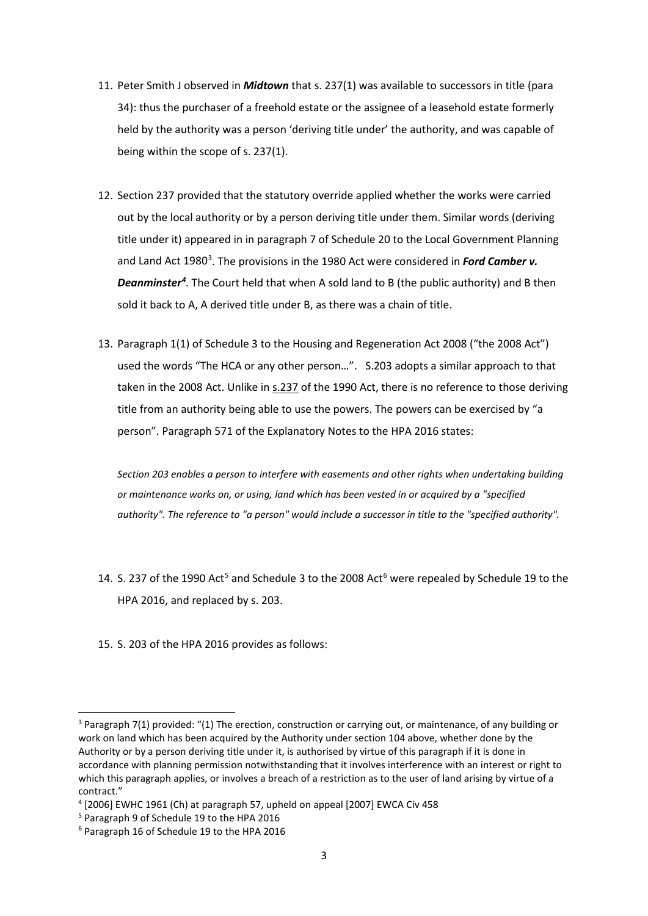- 11. Peter Smith J observed in *Midtown* that s. 237(1) was available to successors in title (para 34): thus the purchaser of a freehold estate or the assignee of a leasehold estate formerly held by the authority was a person 'deriving title under' the authority, and was capable of being within the scope of s. 237(1).
- 12. Section 237 provided that the statutory override applied whether the works were carried out by the local authority or by a person deriving title under them. Similar words (deriving title under it) appeared in in paragraph 7 of Schedule 20 to the Local Government Planning and Land Act 1980<sup>[3](#page-2-0)</sup>. The provisions in the 1980 Act were considered in Ford Camber v. *Deanminster[4](#page-2-1)* . The Court held that when A sold land to B (the public authority) and B then sold it back to A, A derived title under B, as there was a chain of title.
- 13. Paragraph 1(1) of Schedule 3 to the Housing and Regeneration Act 2008 ("the 2008 Act") used the words "The HCA or any other person…". S.203 adopts a similar approach to that taken in the 2008 Act. Unlike in [s.237](http://login.westlaw.co.uk/maf/wluk/app/document?src=doc&linktype=ref&context=103&crumb-action=replace&docguid=I11F2C060E44C11DA8D70A0E70A78ED65) of the 1990 Act, there is no reference to those deriving title from an authority being able to use the powers. The powers can be exercised by "a person". [Paragraph 571 of the Explanatory Notes to the HPA 2016](http://login.westlaw.co.uk/maf/wluk/app/document?src=doc&linktype=ref&context=103&crumb-action=replace&docguid=I5CD0F030222511E698B093E09C7DE963) states:

*Section 203 enables a person to interfere with easements and other rights when undertaking building or maintenance works on, or using, land which has been vested in or acquired by a "specified authority". The reference to "a person" would include a successor in title to the "specified authority".*

- 14. S. 237 of the 1990 Act<sup>[5](#page-2-2)</sup> and Schedule 3 to the 2008 Act<sup>[6](#page-2-3)</sup> were repealed by Schedule 19 to the HPA 2016, and replaced by s. 203.
- 15. S. 203 of the HPA 2016 provides as follows:

<span id="page-2-0"></span><sup>&</sup>lt;sup>3</sup> Paragraph 7(1) provided: "(1) The erection, construction or carrying out, or maintenance, of any building or work on land which has been acquired by the Authority under section 104 above, whether done by the Authority or by a person deriving title under it, is authorised by virtue of this paragraph if it is done in accordance with planning permission notwithstanding that it involves interference with an interest or right to which this paragraph applies, or involves a breach of a restriction as to the user of land arising by virtue of a contract."

<span id="page-2-1"></span><sup>4</sup> [2006] EWHC 1961 (Ch) at paragraph 57, upheld on appeal [2007] EWCA Civ 458

<span id="page-2-2"></span><sup>5</sup> Paragraph 9 of Schedule 19 to the HPA 2016

<span id="page-2-3"></span><sup>6</sup> Paragraph 16 of Schedule 19 to the HPA 2016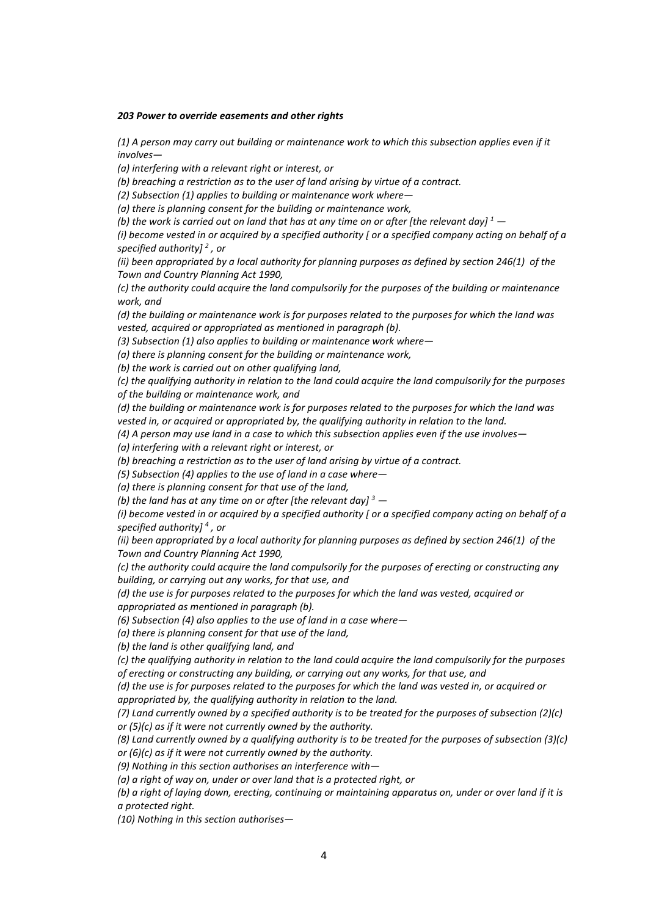#### *203 Power to override easements and other rights*

*(1) A person may carry out building or maintenance work to which this subsection applies even if it involves—*

*(a) interfering with a relevant right or interest, or*

*(b) breaching a restriction as to the user of land arising by virtue of a contract.*

*(2) Subsection (1) applies to building or maintenance work where—*

*(a) there is planning consent for the building or maintenance work,*

*(b) the work is carried out on land that has at any time on or after [the relevant day[\] 1](https://login.westlaw.co.uk/maf/wluk/app/document?&srguid=i0ad69f8e0000015f538a1978260db39c&docguid=I2FEBC120222611E6872D9505B57C9DD6&hitguid=I2FEBC120222611E6872D9505B57C9DD6&rank=1&spos=1&epos=1&td=22&crumb-action=append&context=42&resolvein=true#targetfn1) —*

*(i) become vested in or acquired by a specified authority [ or a specified company acting on behalf of a specified authority[\] 2](https://login.westlaw.co.uk/maf/wluk/app/document?&srguid=i0ad69f8e0000015f538a1978260db39c&docguid=I2FEBC120222611E6872D9505B57C9DD6&hitguid=I2FEBC120222611E6872D9505B57C9DD6&rank=1&spos=1&epos=1&td=22&crumb-action=append&context=42&resolvein=true#targetfn2) , or* 

*(ii) been appropriated by a local authority for planning purposes as defined by [section 246\(1\)](https://login.westlaw.co.uk/maf/wluk/app/document?src=doc&linktype=ref&context=43&crumb-action=replace&docguid=I11FC0F30E44C11DA8D70A0E70A78ED65) of the [Town and Country Planning Act 1990,](https://login.westlaw.co.uk/maf/wluk/app/document?src=doc&linktype=ref&context=43&crumb-action=replace&docguid=I5FF12B40E42311DAA7CF8F68F6EE57AB)*

*(c) the authority could acquire the land compulsorily for the purposes of the building or maintenance work, and*

*(d) the building or maintenance work is for purposes related to the purposes for which the land was vested, acquired or appropriated as mentioned in paragraph (b).*

*(3) Subsection (1) also applies to building or maintenance work where—*

*(a) there is planning consent for the building or maintenance work,*

*(b) the work is carried out on other qualifying land,*

*(c) the qualifying authority in relation to the land could acquire the land compulsorily for the purposes of the building or maintenance work, and*

*(d) the building or maintenance work is for purposes related to the purposes for which the land was vested in, or acquired or appropriated by, the qualifying authority in relation to the land.*

*(4) A person may use land in a case to which this subsection applies even if the use involves—*

*(a) interfering with a relevant right or interest, or*

*(b) breaching a restriction as to the user of land arising by virtue of a contract.*

*(5) Subsection (4) applies to the use of land in a case where—*

*(a) there is planning consent for that use of the land,*

*(b) the land has at any time on or after [the relevant day[\] 3](https://login.westlaw.co.uk/maf/wluk/app/document?&srguid=i0ad69f8e0000015f538a1978260db39c&docguid=I2FEBC120222611E6872D9505B57C9DD6&hitguid=I2FEBC120222611E6872D9505B57C9DD6&rank=1&spos=1&epos=1&td=22&crumb-action=append&context=42&resolvein=true#targetfn3) —*

*(i) become vested in or acquired by a specified authority [ or a specified company acting on behalf of a specified authority[\] 4](https://login.westlaw.co.uk/maf/wluk/app/document?&srguid=i0ad69f8e0000015f538a1978260db39c&docguid=I2FEBC120222611E6872D9505B57C9DD6&hitguid=I2FEBC120222611E6872D9505B57C9DD6&rank=1&spos=1&epos=1&td=22&crumb-action=append&context=42&resolvein=true#targetfn4) , or* 

*(ii) been appropriated by a local authority for planning purposes as defined by [section 246\(1\)](https://login.westlaw.co.uk/maf/wluk/app/document?src=doc&linktype=ref&context=43&crumb-action=replace&docguid=I11FC0F30E44C11DA8D70A0E70A78ED65) of the [Town and Country Planning Act 1990,](https://login.westlaw.co.uk/maf/wluk/app/document?src=doc&linktype=ref&context=43&crumb-action=replace&docguid=I5FF12B40E42311DAA7CF8F68F6EE57AB)*

*(c) the authority could acquire the land compulsorily for the purposes of erecting or constructing any building, or carrying out any works, for that use, and*

*(d) the use is for purposes related to the purposes for which the land was vested, acquired or appropriated as mentioned in paragraph (b).*

*(6) Subsection (4) also applies to the use of land in a case where—*

*(a) there is planning consent for that use of the land,*

*(b) the land is other qualifying land, and*

*(c) the qualifying authority in relation to the land could acquire the land compulsorily for the purposes of erecting or constructing any building, or carrying out any works, for that use, and*

*(d) the use is for purposes related to the purposes for which the land was vested in, or acquired or appropriated by, the qualifying authority in relation to the land.*

*(7) Land currently owned by a specified authority is to be treated for the purposes of subsection (2)(c) or (5)(c) as if it were not currently owned by the authority.*

*(8) Land currently owned by a qualifying authority is to be treated for the purposes of subsection (3)(c) or (6)(c) as if it were not currently owned by the authority.*

*(9) Nothing in this section authorises an interference with—*

*(a) a right of way on, under or over land that is a protected right, or*

*(b) a right of laying down, erecting, continuing or maintaining apparatus on, under or over land if it is a protected right.*

*(10) Nothing in this section authorises—*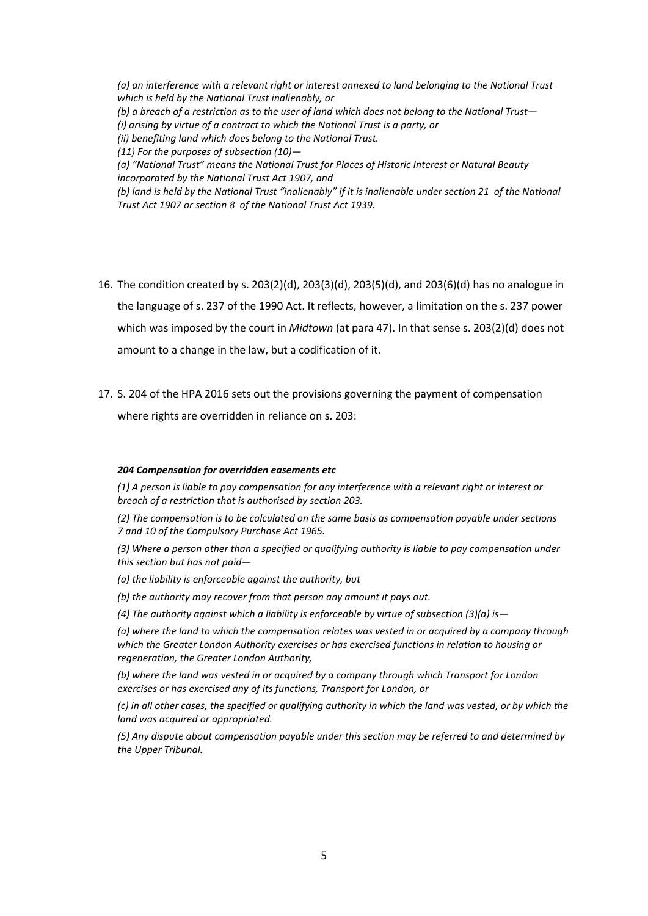*(a) an interference with a relevant right or interest annexed to land belonging to the National Trust which is held by the National Trust inalienably, or (b) a breach of a restriction as to the user of land which does not belong to the National Trust— (i) arising by virtue of a contract to which the National Trust is a party, or (ii) benefiting land which does belong to the National Trust. (11) For the purposes of subsection (10)— (a) "National Trust" means the National Trust for Places of Historic Interest or Natural Beauty incorporated by the [National Trust Act 1907,](https://login.westlaw.co.uk/maf/wluk/app/document?src=doc&linktype=ref&context=43&crumb-action=replace&docguid=I3FE69BA0A2EF11E69AD7CF2294ACE05E) and (b) land is held by the National Trust "inalienably" if it is inalienable unde[r section 21](https://login.westlaw.co.uk/maf/wluk/app/document?src=doc&linktype=ref&context=43&crumb-action=replace&docguid=I644DF590A30A11E6A2198EA35E8BEC8A) of the [National](https://login.westlaw.co.uk/maf/wluk/app/document?src=doc&linktype=ref&context=43&crumb-action=replace&docguid=I3FE69BA0A2EF11E69AD7CF2294ACE05E)  [Trust Act 1907](https://login.westlaw.co.uk/maf/wluk/app/document?src=doc&linktype=ref&context=43&crumb-action=replace&docguid=I3FE69BA0A2EF11E69AD7CF2294ACE05E) or [section 8](https://login.westlaw.co.uk/maf/wluk/app/document?src=doc&linktype=ref&context=43&crumb-action=replace&docguid=ID39AE2B08C3411E69C0AFEB55E9749A2) of th[e National Trust Act 1939.](https://login.westlaw.co.uk/maf/wluk/app/document?src=doc&linktype=ref&context=43&crumb-action=replace&docguid=IEFC4C6508C3311E6B6B6DFFDA349C9A3)*

- 16. The condition created by s. 203(2)(d), 203(3)(d), 203(5)(d), and 203(6)(d) has no analogue in the language of s. 237 of the 1990 Act. It reflects, however, a limitation on the s. 237 power which was imposed by the court in *Midtown* (at para 47). In that sense s. 203(2)(d) does not amount to a change in the law, but a codification of it.
- 17. S. 204 of the HPA 2016 sets out the provisions governing the payment of compensation where rights are overridden in reliance on s. 203:

### *204 Compensation for overridden easements etc*

*(1) A person is liable to pay compensation for any interference with a relevant right or interest or breach of a restriction that is authorised by section 203.*

*(2) The compensation is to be calculated on the same basis as compensation payable under sections 7 and 10 of the Compulsory Purchase Act 1965.*

*(3) Where a person other than a specified or qualifying authority is liable to pay compensation under this section but has not paid—*

*(a) the liability is enforceable against the authority, but*

*(b) the authority may recover from that person any amount it pays out.*

*(4) The authority against which a liability is enforceable by virtue of subsection (3)(a) is—*

*(a) where the land to which the compensation relates was vested in or acquired by a company through which the Greater London Authority exercises or has exercised functions in relation to housing or regeneration, the Greater London Authority,*

*(b) where the land was vested in or acquired by a company through which Transport for London exercises or has exercised any of its functions, Transport for London, or*

*(c) in all other cases, the specified or qualifying authority in which the land was vested, or by which the land was acquired or appropriated.*

*(5) Any dispute about compensation payable under this section may be referred to and determined by the Upper Tribunal.*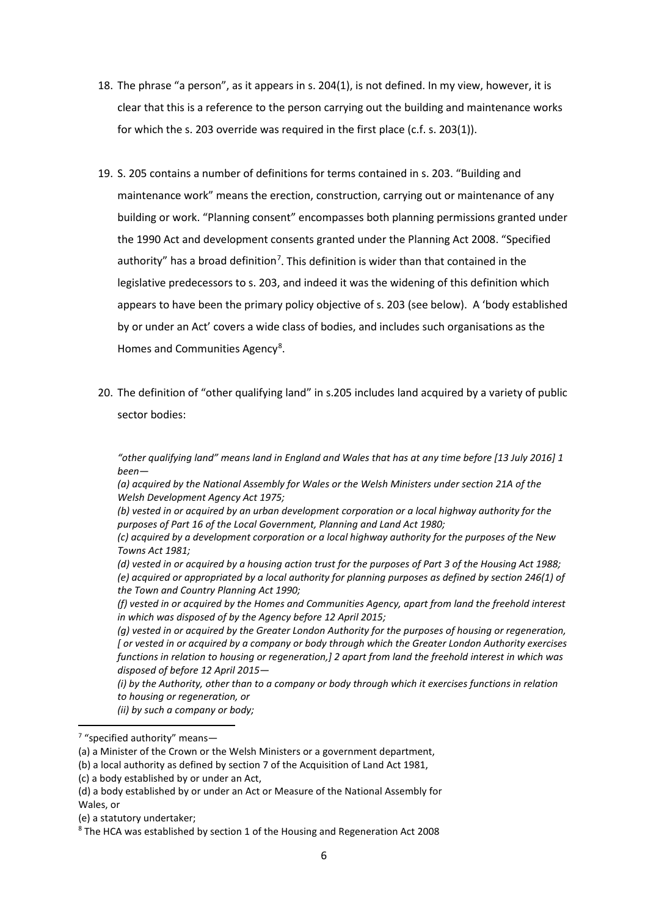- 18. The phrase "a person", as it appears in s. 204(1), is not defined. In my view, however, it is clear that this is a reference to the person carrying out the building and maintenance works for which the s. 203 override was required in the first place (c.f. s. 203(1)).
- 19. S. 205 contains a number of definitions for terms contained in s. 203. "Building and maintenance work" means the erection, construction, carrying out or maintenance of any building or work. "Planning consent" encompasses both planning permissions granted under the 1990 Act and development consents granted under the Planning Act 2008. "Specified authority" has a broad definition<sup>[7](#page-5-0)</sup>. This definition is wider than that contained in the legislative predecessors to s. 203, and indeed it was the widening of this definition which appears to have been the primary policy objective of s. 203 (see below). A 'body established by or under an Act' covers a wide class of bodies, and includes such organisations as the Homes and Communities Agency<sup>[8](#page-5-1)</sup>.
- 20. The definition of "other qualifying land" in s.205 includes land acquired by a variety of public sector bodies:

*"other qualifying land" means land in England and Wales that has at any time before [13 July 2016] 1 been—*

*(a) acquired by the National Assembly for Wales or the Welsh Ministers under section 21A of the Welsh Development Agency Act 1975;*

*(b) vested in or acquired by an urban development corporation or a local highway authority for the purposes of Part 16 of the Local Government, Planning and Land Act 1980;*

*(c) acquired by a development corporation or a local highway authority for the purposes of the New Towns Act 1981;*

*(d) vested in or acquired by a housing action trust for the purposes of Part 3 of the Housing Act 1988; (e) acquired or appropriated by a local authority for planning purposes as defined by section 246(1) of the Town and Country Planning Act 1990;*

*(f) vested in or acquired by the Homes and Communities Agency, apart from land the freehold interest in which was disposed of by the Agency before 12 April 2015;*

*(g) vested in or acquired by the Greater London Authority for the purposes of housing or regeneration, [ or vested in or acquired by a company or body through which the Greater London Authority exercises functions in relation to housing or regeneration,] 2 apart from land the freehold interest in which was disposed of before 12 April 2015—*

*(i) by the Authority, other than to a company or body through which it exercises functions in relation to housing or regeneration, or*

*(ii) by such a company or body;*

(b) a local authority as defined by section 7 of the Acquisition of Land Act 1981,

<span id="page-5-0"></span> <sup>7</sup> "specified authority" means—

<sup>(</sup>a) a Minister of the Crown or the Welsh Ministers or a government department,

<sup>(</sup>c) a body established by or under an Act,

<sup>(</sup>d) a body established by or under an Act or Measure of the National Assembly for Wales, or

<sup>(</sup>e) a statutory undertaker;

<span id="page-5-1"></span><sup>8</sup> The HCA was established by section 1 of the Housing and Regeneration Act 2008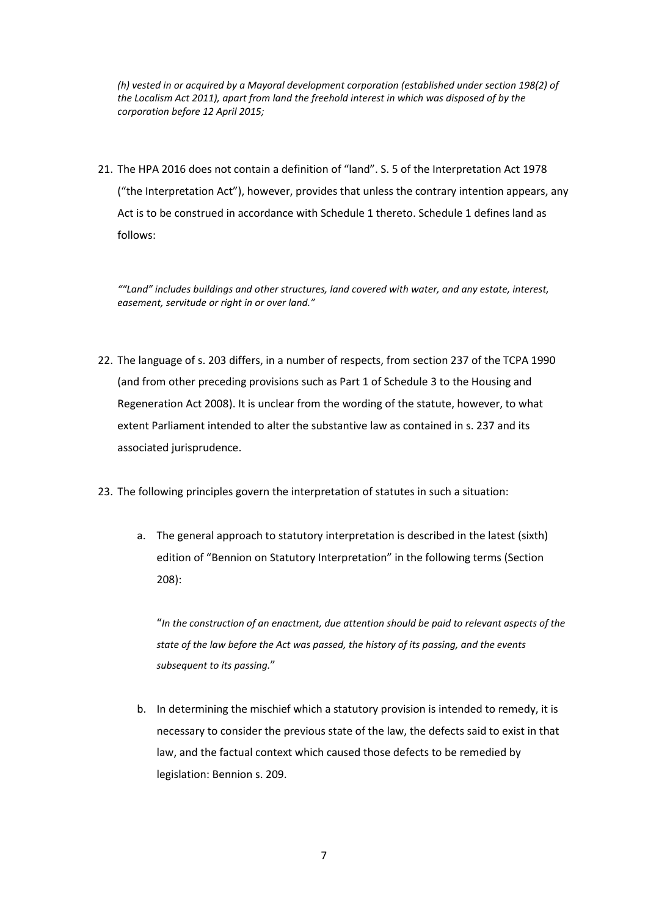*(h) vested in or acquired by a Mayoral development corporation (established under section 198(2) of the Localism Act 2011), apart from land the freehold interest in which was disposed of by the corporation before 12 April 2015;*

21. The HPA 2016 does not contain a definition of "land". S. 5 of the Interpretation Act 1978 ("the Interpretation Act"), however, provides that unless the contrary intention appears, any Act is to be construed in accordance with Schedule 1 thereto. Schedule 1 defines land as follows:

*""Land" includes buildings and other structures, land covered with water, and any estate, interest, easement, servitude or right in or over land."*

- 22. The language of s. 203 differs, in a number of respects, from section 237 of the TCPA 1990 (and from other preceding provisions such as Part 1 of Schedule 3 to the Housing and Regeneration Act 2008). It is unclear from the wording of the statute, however, to what extent Parliament intended to alter the substantive law as contained in s. 237 and its associated jurisprudence.
- 23. The following principles govern the interpretation of statutes in such a situation:
	- a. The general approach to statutory interpretation is described in the latest (sixth) edition of "Bennion on Statutory Interpretation" in the following terms (Section 208):

"*In the construction of an enactment, due attention should be paid to relevant aspects of the state of the law before the Act was passed, the history of its passing, and the events subsequent to its passing.*"

b. In determining the mischief which a statutory provision is intended to remedy, it is necessary to consider the previous state of the law, the defects said to exist in that law, and the factual context which caused those defects to be remedied by legislation: Bennion s. 209.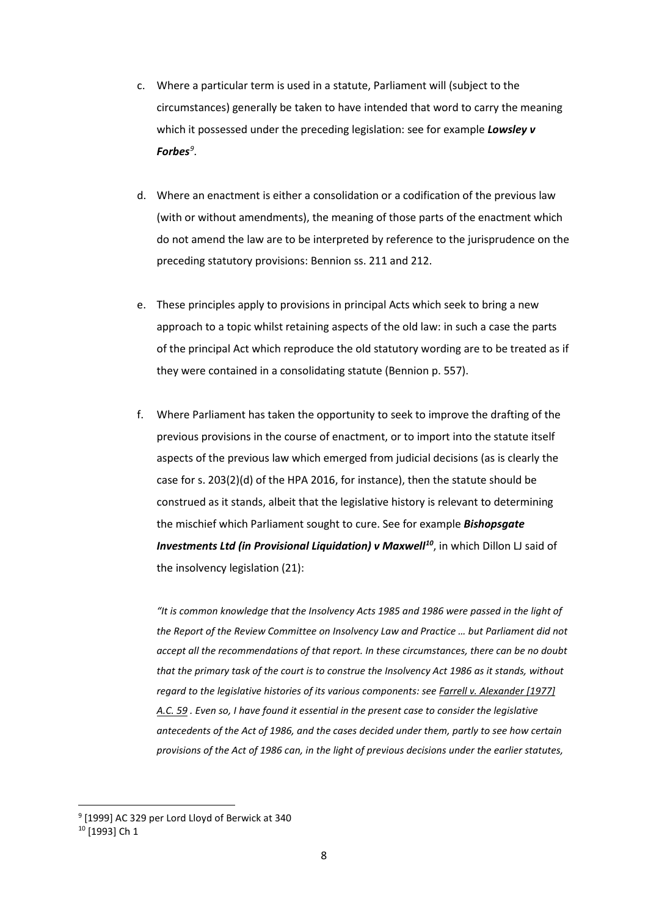- c. Where a particular term is used in a statute, Parliament will (subject to the circumstances) generally be taken to have intended that word to carry the meaning which it possessed under the preceding legislation: see for example *Lowsley v Forbes[9](#page-7-0)* .
- d. Where an enactment is either a consolidation or a codification of the previous law (with or without amendments), the meaning of those parts of the enactment which do not amend the law are to be interpreted by reference to the jurisprudence on the preceding statutory provisions: Bennion ss. 211 and 212.
- e. These principles apply to provisions in principal Acts which seek to bring a new approach to a topic whilst retaining aspects of the old law: in such a case the parts of the principal Act which reproduce the old statutory wording are to be treated as if they were contained in a consolidating statute (Bennion p. 557).
- f. Where Parliament has taken the opportunity to seek to improve the drafting of the previous provisions in the course of enactment, or to import into the statute itself aspects of the previous law which emerged from judicial decisions (as is clearly the case for s. 203(2)(d) of the HPA 2016, for instance), then the statute should be construed as it stands, albeit that the legislative history is relevant to determining the mischief which Parliament sought to cure. See for example *Bishopsgate Investments Ltd (in Provisional Liquidation) v Maxwell<sup>[10](#page-7-1)</sup>, in which Dillon LJ said of* the insolvency legislation (21):

*"It is common knowledge that the Insolvency Acts 1985 and 1986 were passed in the light of the Report of the Review Committee on Insolvency Law and Practice … but Parliament did not accept all the recommendations of that report. In these circumstances, there can be no doubt that the primary task of the court is to construe the Insolvency Act 1986 as it stands, without regard to the legislative histories of its various components: se[e Farrell v. Alexander \[1977\]](http://login.westlaw.co.uk/maf/wluk/app/document?src=doc&linktype=ref&context=11&crumb-action=replace&docguid=IA5ABD410E42711DA8FC2A0F0355337E9)  [A.C. 59](http://login.westlaw.co.uk/maf/wluk/app/document?src=doc&linktype=ref&context=11&crumb-action=replace&docguid=IA5ABD410E42711DA8FC2A0F0355337E9) . Even so, I have found it essential in the present case to consider the legislative antecedents of the Act of 1986, and the cases decided under them, partly to see how certain provisions of the Act of 1986 can, in the light of previous decisions under the earlier statutes,* 

<span id="page-7-0"></span> <sup>9</sup> [1999] AC 329 per Lord Lloyd of Berwick at 340

<span id="page-7-1"></span><sup>10</sup> [1993] Ch 1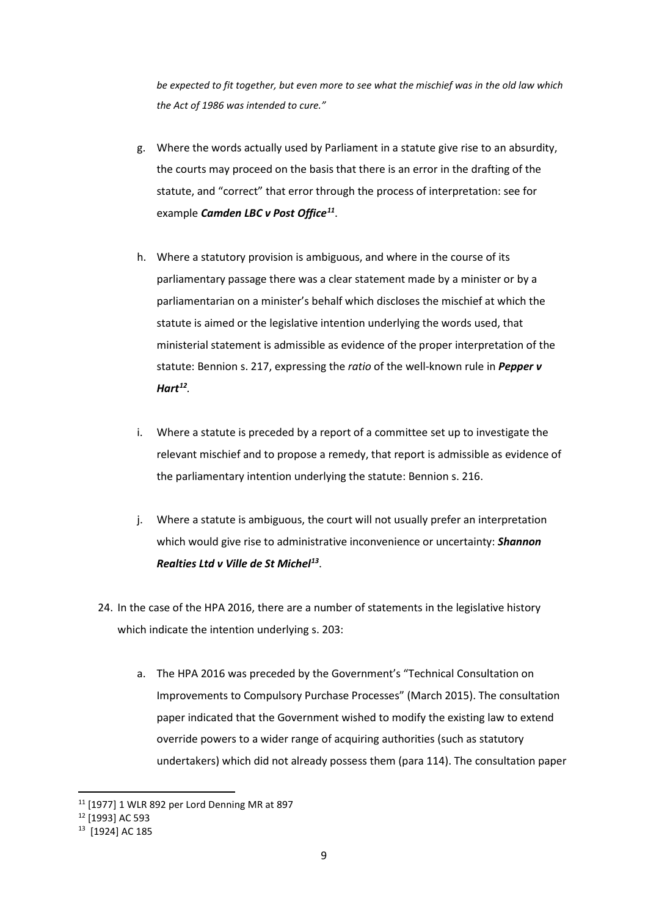*be expected to fit together, but even more to see what the mischief was in the old law which the Act of 1986 was intended to cure."*

- g. Where the words actually used by Parliament in a statute give rise to an absurdity, the courts may proceed on the basis that there is an error in the drafting of the statute, and "correct" that error through the process of interpretation: see for example *Camden LBC v Post Office[11](#page-8-0)*.
- h. Where a statutory provision is ambiguous, and where in the course of its parliamentary passage there was a clear statement made by a minister or by a parliamentarian on a minister's behalf which discloses the mischief at which the statute is aimed or the legislative intention underlying the words used, that ministerial statement is admissible as evidence of the proper interpretation of the statute: Bennion s. 217, expressing the *ratio* of the well-known rule in *Pepper v Hart[12](#page-8-1).*
- i. Where a statute is preceded by a report of a committee set up to investigate the relevant mischief and to propose a remedy, that report is admissible as evidence of the parliamentary intention underlying the statute: Bennion s. 216.
- j. Where a statute is ambiguous, the court will not usually prefer an interpretation which would give rise to administrative inconvenience or uncertainty: *Shannon Realties Ltd v Ville de St Michel[13](#page-8-2)*.
- 24. In the case of the HPA 2016, there are a number of statements in the legislative history which indicate the intention underlying s. 203:
	- a. The HPA 2016 was preceded by the Government's "Technical Consultation on Improvements to Compulsory Purchase Processes" (March 2015). The consultation paper indicated that the Government wished to modify the existing law to extend override powers to a wider range of acquiring authorities (such as statutory undertakers) which did not already possess them (para 114). The consultation paper

<span id="page-8-0"></span> <sup>11</sup> [1977] 1 WLR 892 per Lord Denning MR at 897

<span id="page-8-1"></span><sup>12</sup> [1993] AC 593

<span id="page-8-2"></span><sup>13</sup> [1924] AC 185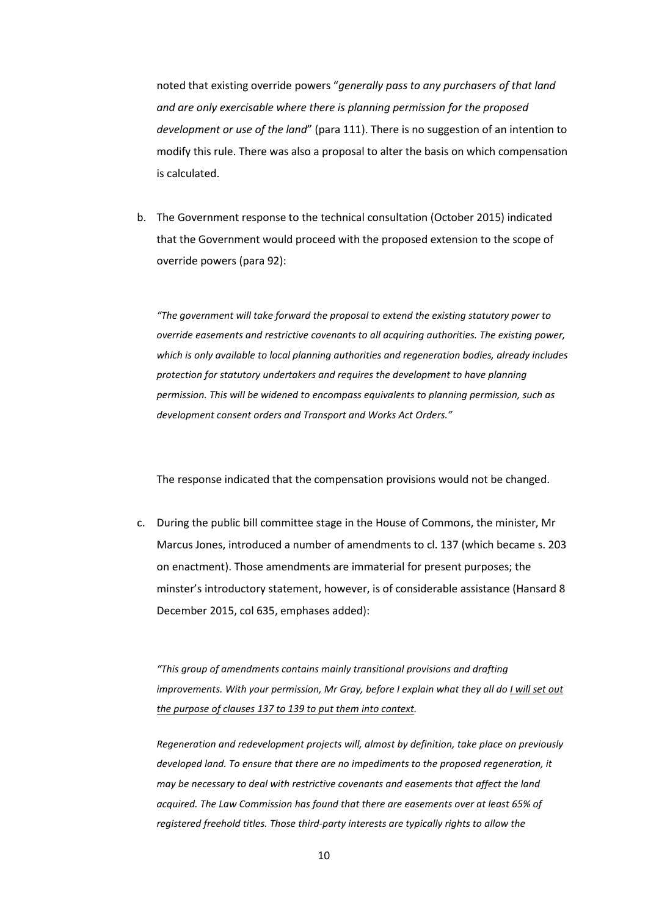noted that existing override powers "*generally pass to any purchasers of that land and are only exercisable where there is planning permission for the proposed development or use of the land*" (para 111). There is no suggestion of an intention to modify this rule. There was also a proposal to alter the basis on which compensation is calculated.

b. The Government response to the technical consultation (October 2015) indicated that the Government would proceed with the proposed extension to the scope of override powers (para 92):

*"The government will take forward the proposal to extend the existing statutory power to override easements and restrictive covenants to all acquiring authorities. The existing power, which is only available to local planning authorities and regeneration bodies, already includes protection for statutory undertakers and requires the development to have planning permission. This will be widened to encompass equivalents to planning permission, such as development consent orders and Transport and Works Act Orders."*

The response indicated that the compensation provisions would not be changed.

c. During the public bill committee stage in the House of Commons, the minister, Mr Marcus Jones, introduced a number of amendments to cl. 137 (which became s. 203 on enactment). Those amendments are immaterial for present purposes; the minster's introductory statement, however, is of considerable assistance (Hansard 8 December 2015, col 635, emphases added):

*"This group of amendments contains mainly transitional provisions and drafting improvements. With your permission, Mr Gray, before I explain what they all do I will set out the purpose of clauses 137 to 139 to put them into context.*

*Regeneration and redevelopment projects will, almost by definition, take place on previously developed land. To ensure that there are no impediments to the proposed regeneration, it may be necessary to deal with restrictive covenants and easements that affect the land acquired. The Law Commission has found that there are easements over at least 65% of registered freehold titles. Those third-party interests are typically rights to allow the*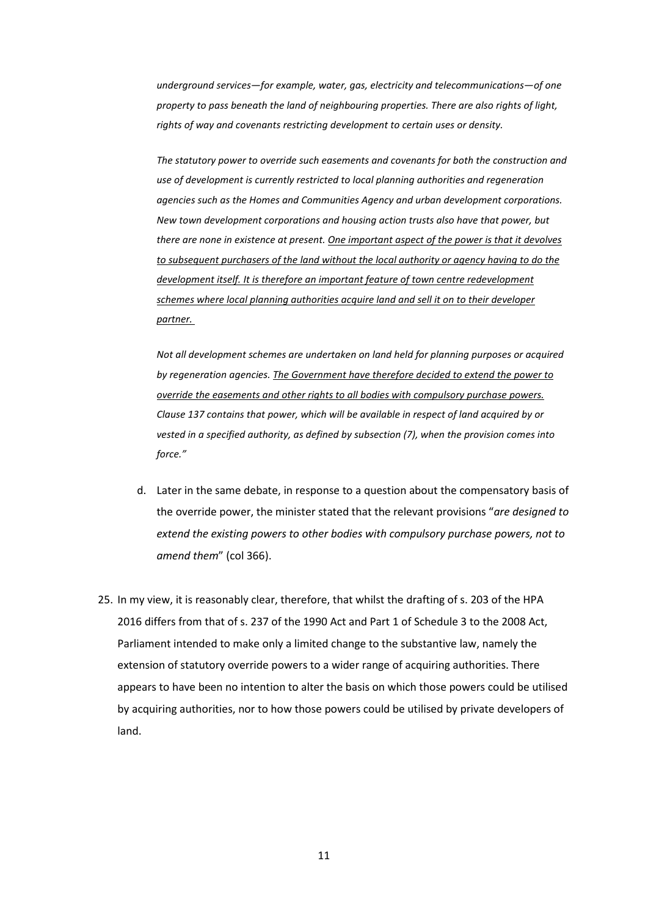*underground services—for example, water, gas, electricity and telecommunications—of one property to pass beneath the land of neighbouring properties. There are also rights of light, rights of way and covenants restricting development to certain uses or density.*

*The statutory power to override such easements and covenants for both the construction and use of development is currently restricted to local planning authorities and regeneration agencies such as the Homes and Communities Agency and urban development corporations. New town development corporations and housing action trusts also have that power, but there are none in existence at present. One important aspect of the power is that it devolves to subsequent purchasers of the land without the local authority or agency having to do the development itself. It is therefore an important feature of town centre redevelopment schemes where local planning authorities acquire land and sell it on to their developer partner.*

*Not all development schemes are undertaken on land held for planning purposes or acquired by regeneration agencies. The Government have therefore decided to extend the power to override the easements and other rights to all bodies with compulsory purchase powers. Clause 137 contains that power, which will be available in respect of land acquired by or vested in a specified authority, as defined by subsection (7), when the provision comes into force."*

- d. Later in the same debate, in response to a question about the compensatory basis of the override power, the minister stated that the relevant provisions "*are designed to extend the existing powers to other bodies with compulsory purchase powers, not to amend them*" (col 366).
- 25. In my view, it is reasonably clear, therefore, that whilst the drafting of s. 203 of the HPA 2016 differs from that of s. 237 of the 1990 Act and Part 1 of Schedule 3 to the 2008 Act, Parliament intended to make only a limited change to the substantive law, namely the extension of statutory override powers to a wider range of acquiring authorities. There appears to have been no intention to alter the basis on which those powers could be utilised by acquiring authorities, nor to how those powers could be utilised by private developers of land.

11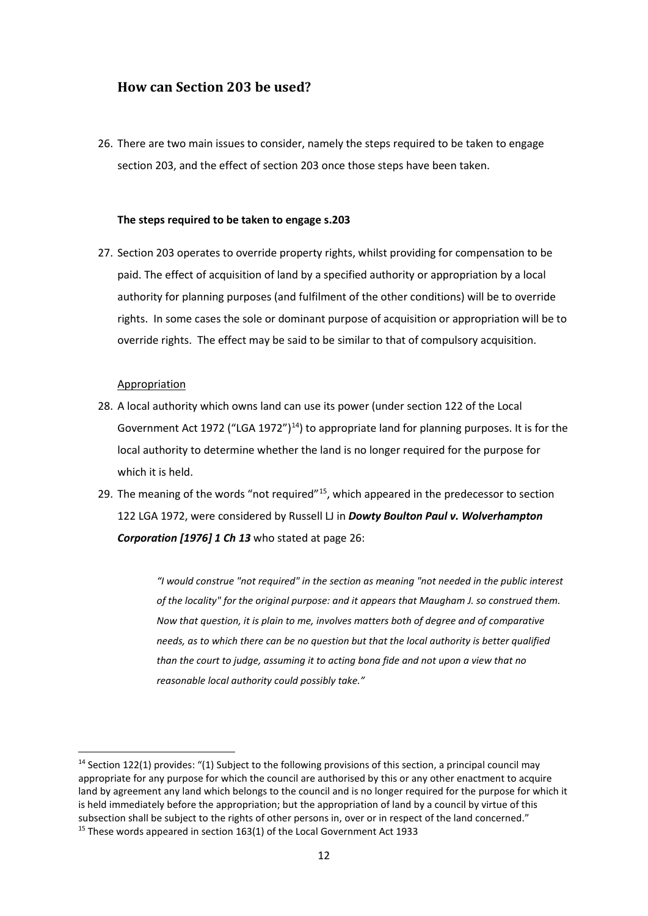## **How can Section 203 be used?**

26. There are two main issues to consider, namely the steps required to be taken to engage section 203, and the effect of section 203 once those steps have been taken.

## **The steps required to be taken to engage s.203**

27. Section 203 operates to override property rights, whilst providing for compensation to be paid. The effect of acquisition of land by a specified authority or appropriation by a local authority for planning purposes (and fulfilment of the other conditions) will be to override rights. In some cases the sole or dominant purpose of acquisition or appropriation will be to override rights. The effect may be said to be similar to that of compulsory acquisition.

#### Appropriation

- 28. A local authority which owns land can use its power (under section 122 of the Local Government Act 1972 ("LGA 1972")<sup>[14](#page-11-0)</sup>) to appropriate land for planning purposes. It is for the local authority to determine whether the land is no longer required for the purpose for which it is held.
- 29. The meaning of the words "not required"<sup>[15](#page-11-1)</sup>, which appeared in the predecessor to section 122 LGA 1972, were considered by Russell LJ in *Dowty Boulton Paul v. Wolverhampton Corporation [1976] 1 Ch 13* who stated at page 26:

*"I would construe "not required" in the section as meaning "not needed in the public interest of the locality" for the original purpose: and it appears that Maugham J. so construed them. Now that question, it is plain to me, involves matters both of degree and of comparative needs, as to which there can be no question but that the local authority is better qualified than the court to judge, assuming it to acting bona fide and not upon a view that no reasonable local authority could possibly take."*

<span id="page-11-1"></span><span id="page-11-0"></span><sup>&</sup>lt;sup>14</sup> Section 122(1) provides: "(1) Subject to the following provisions of this section, a principal council may appropriate for any purpose for which the council are authorised by this or any other enactment to acquire land by agreement any land which belongs to the council and is no longer required for the purpose for which it is held immediately before the appropriation; but the appropriation of land by a council by virtue of this subsection shall be subject to the rights of other persons in, over or in respect of the land concerned." <sup>15</sup> These words appeared in section 163(1) of the Local Government Act 1933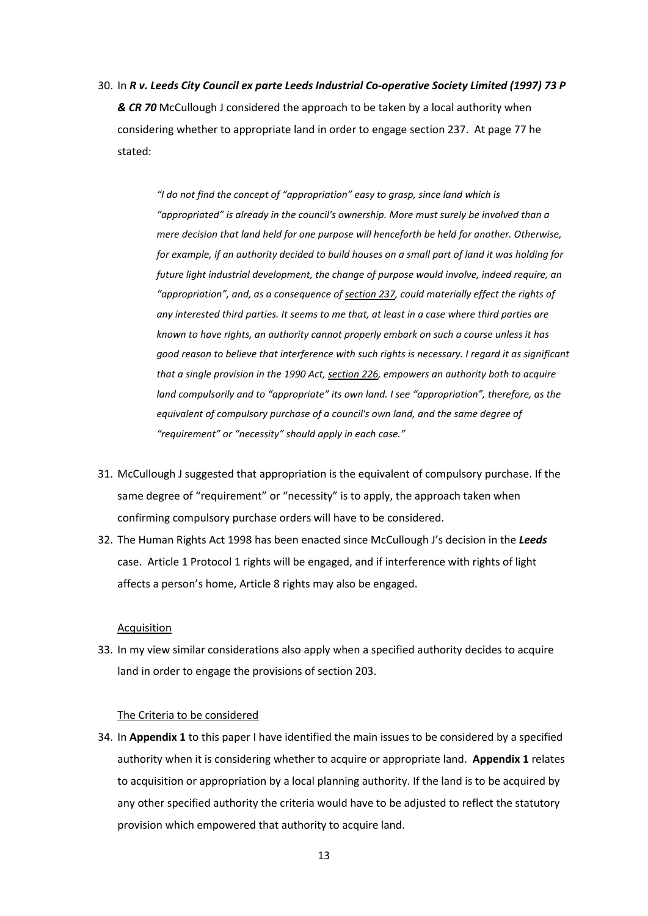30. In *R v. Leeds City Council ex parte Leeds Industrial Co-operative Society Limited (1997) 73 P & CR 70* McCullough J considered the approach to be taken by a local authority when considering whether to appropriate land in order to engage section 237. At page 77 he stated:

> *"I do not find the concept of "appropriation" easy to grasp, since land which is "appropriated" is already in the council's ownership. More must surely be involved than a mere decision that land held for one purpose will henceforth be held for another. Otherwise, for example, if an authority decided to build houses on a small part of land it was holding for future light industrial development, the change of purpose would involve, indeed require, an "appropriation", and, as a consequence of [section 237,](http://login.westlaw.co.uk/maf/wluk/ext/app/document?crumb-action=reset&docguid=I11F2C060E44C11DA8D70A0E70A78ED65) could materially effect the rights of any interested third parties. It seems to me that, at least in a case where third parties are known to have rights, an authority cannot properly embark on such a course unless it has good reason to believe that interference with such rights is necessary. I regard it as significant that a single provision in the 1990 Act[, section 226,](http://login.westlaw.co.uk/maf/wluk/ext/app/document?crumb-action=reset&docguid=I11E68B60E44C11DA8D70A0E70A78ED65) empowers an authority both to acquire land compulsorily and to "appropriate" its own land. I see "appropriation", therefore, as the equivalent of compulsory purchase of a council's own land, and the same degree of "requirement" or "necessity" should apply in each case."*

- 31. McCullough J suggested that appropriation is the equivalent of compulsory purchase. If the same degree of "requirement" or "necessity" is to apply, the approach taken when confirming compulsory purchase orders will have to be considered.
- 32. The Human Rights Act 1998 has been enacted since McCullough J's decision in the *Leeds* case. Article 1 Protocol 1 rights will be engaged, and if interference with rights of light affects a person's home, Article 8 rights may also be engaged.

## Acquisition

33. In my view similar considerations also apply when a specified authority decides to acquire land in order to engage the provisions of section 203.

#### The Criteria to be considered

34. In **Appendix 1** to this paper I have identified the main issues to be considered by a specified authority when it is considering whether to acquire or appropriate land. **Appendix 1** relates to acquisition or appropriation by a local planning authority. If the land is to be acquired by any other specified authority the criteria would have to be adjusted to reflect the statutory provision which empowered that authority to acquire land.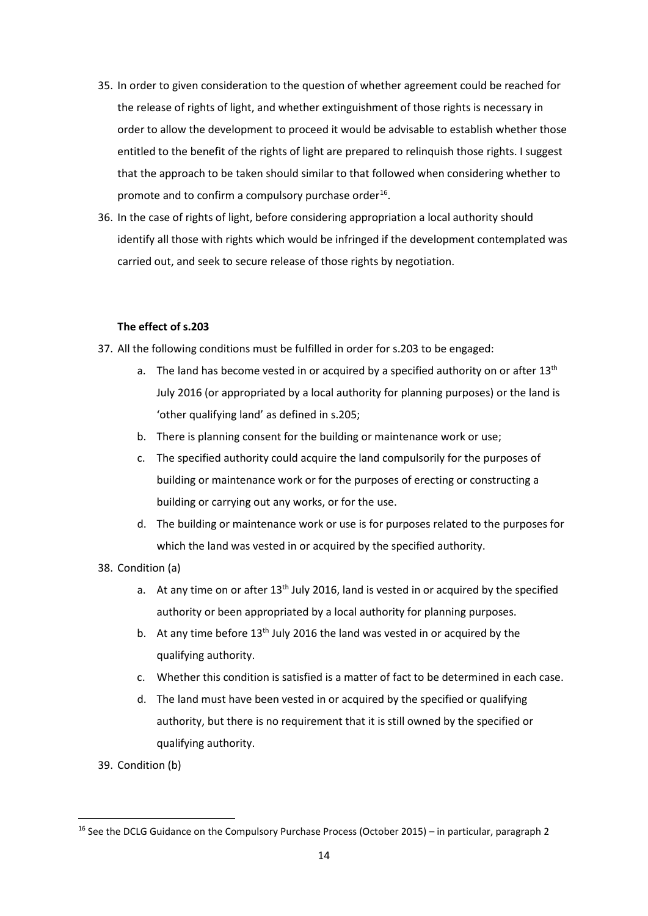- 35. In order to given consideration to the question of whether agreement could be reached for the release of rights of light, and whether extinguishment of those rights is necessary in order to allow the development to proceed it would be advisable to establish whether those entitled to the benefit of the rights of light are prepared to relinquish those rights. I suggest that the approach to be taken should similar to that followed when considering whether to promote and to confirm a compulsory purchase order<sup>[16](#page-13-0)</sup>.
- 36. In the case of rights of light, before considering appropriation a local authority should identify all those with rights which would be infringed if the development contemplated was carried out, and seek to secure release of those rights by negotiation.

## **The effect of s.203**

- 37. All the following conditions must be fulfilled in order for s.203 to be engaged:
	- a. The land has become vested in or acquired by a specified authority on or after  $13<sup>th</sup>$ July 2016 (or appropriated by a local authority for planning purposes) or the land is 'other qualifying land' as defined in s.205;
	- b. There is planning consent for the building or maintenance work or use;
	- c. The specified authority could acquire the land compulsorily for the purposes of building or maintenance work or for the purposes of erecting or constructing a building or carrying out any works, or for the use.
	- d. The building or maintenance work or use is for purposes related to the purposes for which the land was vested in or acquired by the specified authority.
- 38. Condition (a)
	- a. At any time on or after  $13<sup>th</sup>$  July 2016, land is vested in or acquired by the specified authority or been appropriated by a local authority for planning purposes.
	- b. At any time before 13<sup>th</sup> July 2016 the land was vested in or acquired by the qualifying authority.
	- c. Whether this condition is satisfied is a matter of fact to be determined in each case.
	- d. The land must have been vested in or acquired by the specified or qualifying authority, but there is no requirement that it is still owned by the specified or qualifying authority.
- 39. Condition (b)

<span id="page-13-0"></span><sup>&</sup>lt;sup>16</sup> See the DCLG Guidance on the Compulsory Purchase Process (October 2015) – in particular, paragraph 2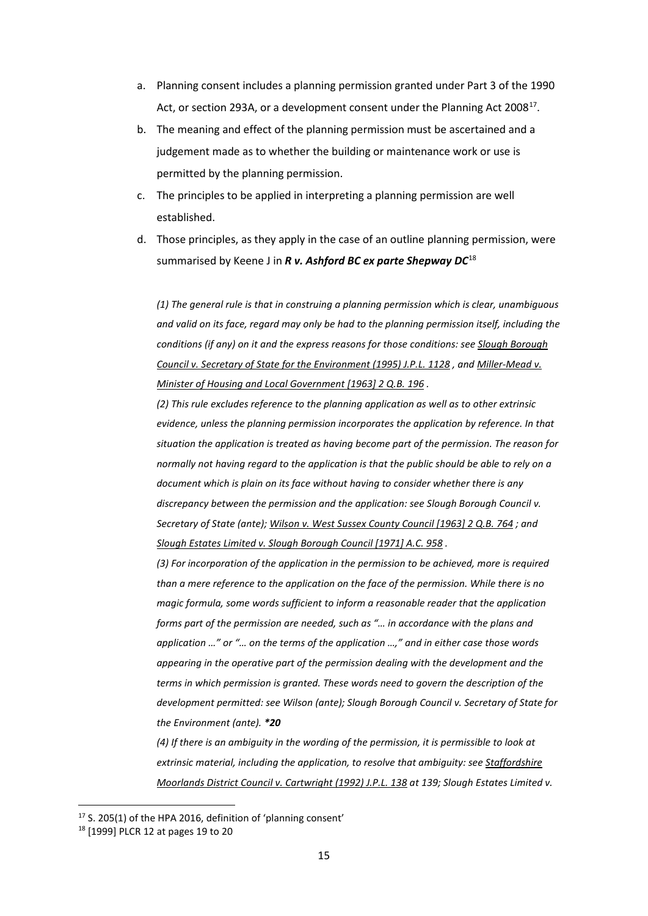- a. Planning consent includes a planning permission granted under Part 3 of the 1990 Act, or section 293A, or a development consent under the Planning Act 2008<sup>17</sup>.
- b. The meaning and effect of the planning permission must be ascertained and a judgement made as to whether the building or maintenance work or use is permitted by the planning permission.
- c. The principles to be applied in interpreting a planning permission are well established.
- d. Those principles, as they apply in the case of an outline planning permission, were summarised by Keene J in *R v. Ashford BC ex parte Shepway DC*[18](#page-14-1)

*(1) The general rule is that in construing a planning permission which is clear, unambiguous and valid on its face, regard may only be had to the planning permission itself, including the conditions (if any) on it and the express reasons for those conditions: see [Slough Borough](http://login.westlaw.co.uk/maf/wluk/app/document?src=doc&linktype=ref&context=43&crumb-action=replace&docguid=I655C3F20E42811DA8FC2A0F0355337E9)  [Council v. Secretary of State for the Environment \(1995\) J.P.L. 1128](http://login.westlaw.co.uk/maf/wluk/app/document?src=doc&linktype=ref&context=43&crumb-action=replace&docguid=I655C3F20E42811DA8FC2A0F0355337E9) , an[d Miller-Mead v.](http://login.westlaw.co.uk/maf/wluk/app/document?src=doc&linktype=ref&context=43&crumb-action=replace&docguid=IFAE0E0B0E42711DA8FC2A0F0355337E9)  [Minister of Housing and Local Government \[1963\]](http://login.westlaw.co.uk/maf/wluk/app/document?src=doc&linktype=ref&context=43&crumb-action=replace&docguid=IFAE0E0B0E42711DA8FC2A0F0355337E9) 2 Q.B. 196 .*

*(2) This rule excludes reference to the planning application as well as to other extrinsic evidence, unless the planning permission incorporates the application by reference. In that situation the application is treated as having become part of the permission. The reason for normally not having regard to the application is that the public should be able to rely on a document which is plain on its face without having to consider whether there is any discrepancy between the permission and the application: see Slough Borough Council v. Secretary of State (ante)[; Wilson v. West Sussex County](http://login.westlaw.co.uk/maf/wluk/app/document?src=doc&linktype=ref&context=43&crumb-action=replace&docguid=I01ECD020E42911DA8FC2A0F0355337E9) Council [1963] 2 Q.B. 764 ; and [Slough Estates Limited v. Slough Borough Council \[1971\] A.C. 958](http://login.westlaw.co.uk/maf/wluk/app/document?src=doc&linktype=ref&context=43&crumb-action=replace&docguid=IAEB1E5D0E42811DA8FC2A0F0355337E9) .*

*(3) For incorporation of the application in the permission to be achieved, more is required than a mere reference to the application on the face of the permission. While there is no magic formula, some words sufficient to inform a reasonable reader that the application forms part of the permission are needed, such as "… in accordance with the plans and application …" or "… on the terms of the application …," and in either case those words appearing in the operative part of the permission dealing with the development and the terms in which permission is granted. These words need to govern the description of the development permitted: see Wilson (ante); Slough Borough Council v. Secretary of State for the Environment (ante). \*20*

*(4) If there is an ambiguity in the wording of the permission, it is permissible to look at extrinsic material, including the application, to resolve that ambiguity: see [Staffordshire](http://login.westlaw.co.uk/maf/wluk/app/document?src=doc&linktype=ref&context=43&crumb-action=replace&docguid=IBDF84481E42811DA8FC2A0F0355337E9)  [Moorlands District Council v. Cartwright \(1992\) J.P.L. 138](http://login.westlaw.co.uk/maf/wluk/app/document?src=doc&linktype=ref&context=43&crumb-action=replace&docguid=IBDF84481E42811DA8FC2A0F0355337E9) at 139; Slough Estates Limited v.* 

<span id="page-14-0"></span> $17$  S. 205(1) of the HPA 2016, definition of 'planning consent'

<span id="page-14-1"></span><sup>18</sup> [1999] PLCR 12 at pages 19 to 20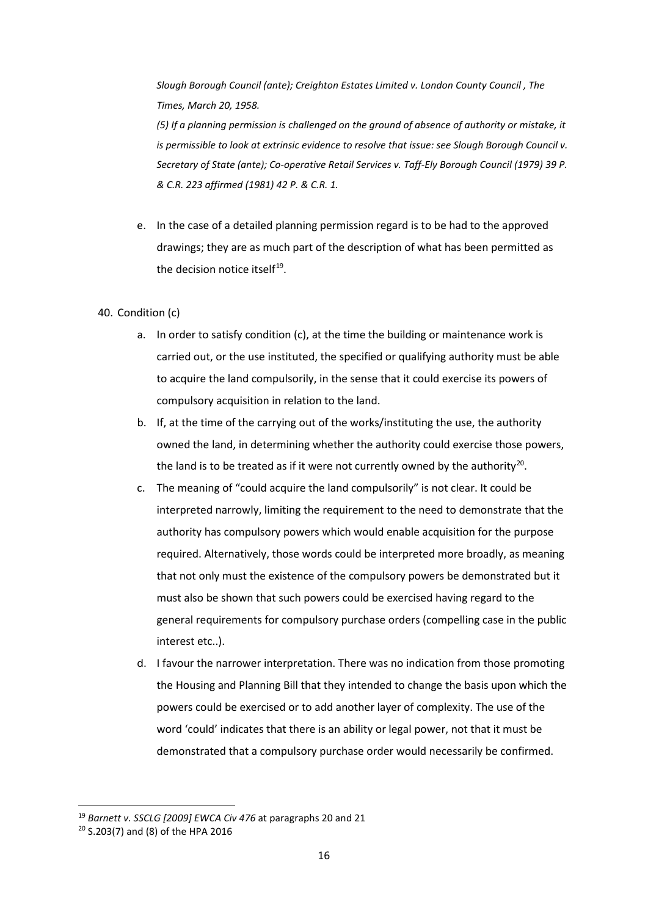*Slough Borough Council (ante); Creighton Estates Limited v. London County Council , The Times, March 20, 1958.*

*(5) If a planning permission is challenged on the ground of absence of authority or mistake, it is permissible to look at extrinsic evidence to resolve that issue: see Slough Borough Council v. Secretary of State (ante); Co-operative Retail Services v. Taff-Ely Borough Council (1979) 39 P. & C.R. 223 affirmed (1981) 42 P. & C.R. 1.*

e. In the case of a detailed planning permission regard is to be had to the approved drawings; they are as much part of the description of what has been permitted as the decision notice itself<sup>19</sup>.

## 40. Condition (c)

- a. In order to satisfy condition (c), at the time the building or maintenance work is carried out, or the use instituted, the specified or qualifying authority must be able to acquire the land compulsorily, in the sense that it could exercise its powers of compulsory acquisition in relation to the land.
- b. If, at the time of the carrying out of the works/instituting the use, the authority owned the land, in determining whether the authority could exercise those powers, the land is to be treated as if it were not currently owned by the authority<sup>20</sup>.
- c. The meaning of "could acquire the land compulsorily" is not clear. It could be interpreted narrowly, limiting the requirement to the need to demonstrate that the authority has compulsory powers which would enable acquisition for the purpose required. Alternatively, those words could be interpreted more broadly, as meaning that not only must the existence of the compulsory powers be demonstrated but it must also be shown that such powers could be exercised having regard to the general requirements for compulsory purchase orders (compelling case in the public interest etc..).
- d. I favour the narrower interpretation. There was no indication from those promoting the Housing and Planning Bill that they intended to change the basis upon which the powers could be exercised or to add another layer of complexity. The use of the word 'could' indicates that there is an ability or legal power, not that it must be demonstrated that a compulsory purchase order would necessarily be confirmed.

<span id="page-15-0"></span> <sup>19</sup> *Barnett v. SSCLG [2009] EWCA Civ 476* at paragraphs 20 and 21

<span id="page-15-1"></span><sup>20</sup> S.203(7) and (8) of the HPA 2016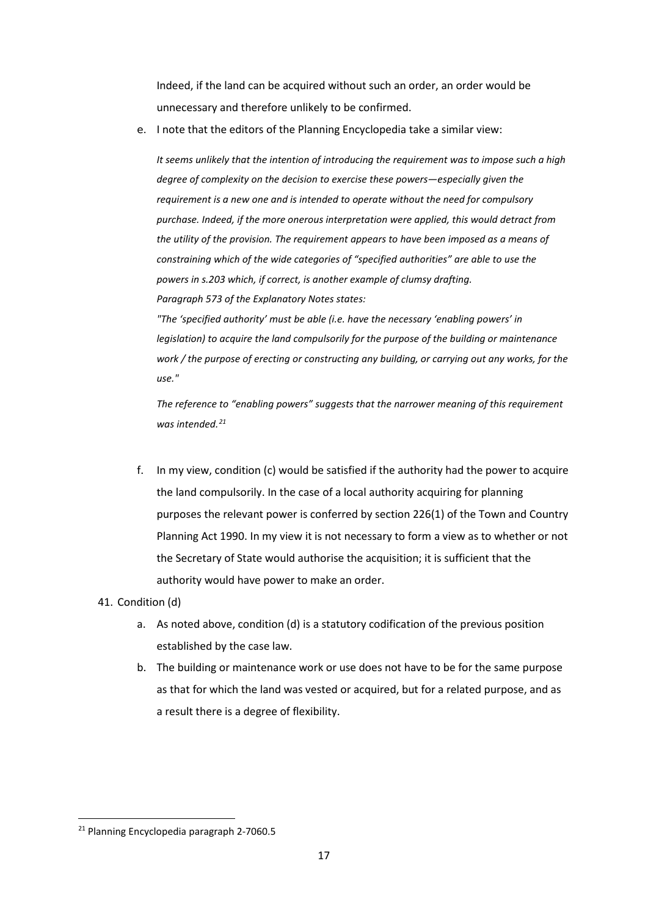Indeed, if the land can be acquired without such an order, an order would be unnecessary and therefore unlikely to be confirmed.

e. I note that the editors of the Planning Encyclopedia take a similar view:

*It seems unlikely that the intention of introducing the requirement was to impose such a high degree of complexity on the decision to exercise these powers—especially given the requirement is a new one and is intended to operate without the need for compulsory purchase. Indeed, if the more onerous interpretation were applied, this would detract from the utility of the provision. The requirement appears to have been imposed as a means of constraining which of the wide categories of "specified authorities" are able to use the powers i[n s.203](http://login.westlaw.co.uk/maf/wluk/app/document?src=doc&linktype=ref&context=103&crumb-action=replace&docguid=I2FEBC120222611E6872D9505B57C9DD6) which, if correct, is another example of clumsy drafting. Paragraph 573 of the Explanatory Notes states:* 

*"The 'specified authority' must be able (i.e. have the necessary 'enabling powers' in legislation) to acquire the land compulsorily for the purpose of the building or maintenance work / the purpose of erecting or constructing any building, or carrying out any works, for the use."*

*The reference to "enabling powers" suggests that the narrower meaning of this requirement was intended.[21](#page-16-0)*

f. In my view, condition (c) would be satisfied if the authority had the power to acquire the land compulsorily. In the case of a local authority acquiring for planning purposes the relevant power is conferred by section 226(1) of the Town and Country Planning Act 1990. In my view it is not necessary to form a view as to whether or not the Secretary of State would authorise the acquisition; it is sufficient that the authority would have power to make an order.

## 41. Condition (d)

- a. As noted above, condition (d) is a statutory codification of the previous position established by the case law.
- b. The building or maintenance work or use does not have to be for the same purpose as that for which the land was vested or acquired, but for a related purpose, and as a result there is a degree of flexibility.

<span id="page-16-0"></span> <sup>21</sup> Planning Encyclopedia paragraph 2-7060.5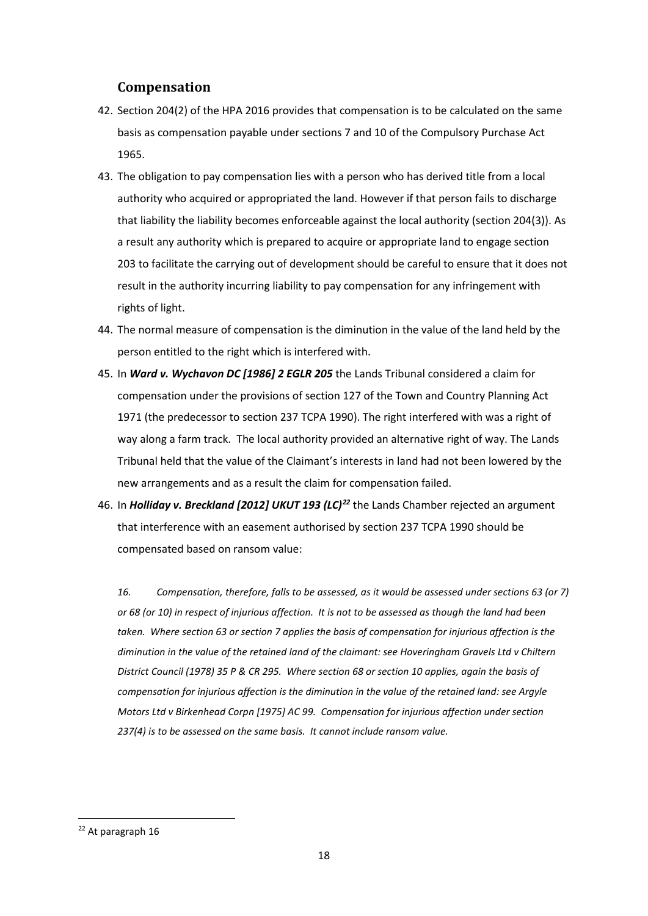## **Compensation**

- 42. Section 204(2) of the HPA 2016 provides that compensation is to be calculated on the same basis as compensation payable under sections 7 and 10 of the Compulsory Purchase Act 1965.
- 43. The obligation to pay compensation lies with a person who has derived title from a local authority who acquired or appropriated the land. However if that person fails to discharge that liability the liability becomes enforceable against the local authority (section 204(3)). As a result any authority which is prepared to acquire or appropriate land to engage section 203 to facilitate the carrying out of development should be careful to ensure that it does not result in the authority incurring liability to pay compensation for any infringement with rights of light.
- 44. The normal measure of compensation is the diminution in the value of the land held by the person entitled to the right which is interfered with.
- 45. In *Ward v. Wychavon DC [1986] 2 EGLR 205* the Lands Tribunal considered a claim for compensation under the provisions of section 127 of the Town and Country Planning Act 1971 (the predecessor to section 237 TCPA 1990). The right interfered with was a right of way along a farm track. The local authority provided an alternative right of way. The Lands Tribunal held that the value of the Claimant's interests in land had not been lowered by the new arrangements and as a result the claim for compensation failed.
- 46. In *Holliday v. Breckland [2012] UKUT 193 (LC)[22](#page-17-0)* the Lands Chamber rejected an argument that interference with an easement authorised by section 237 TCPA 1990 should be compensated based on ransom value:

*16. Compensation, therefore, falls to be assessed, as it would be assessed under sections 63 (or 7) or 68 (or 10) in respect of injurious affection. It is not to be assessed as though the land had been taken. Where section 63 or section 7 applies the basis of compensation for injurious affection is the diminution in the value of the retained land of the claimant: see Hoveringham Gravels Ltd v Chiltern District Council (1978) 35 P & CR 295. Where section 68 or section 10 applies, again the basis of compensation for injurious affection is the diminution in the value of the retained land: see Argyle Motors Ltd v Birkenhead Corpn [1975] AC 99. Compensation for injurious affection under section 237(4) is to be assessed on the same basis. It cannot include ransom value.*

<span id="page-17-0"></span> <sup>22</sup> At paragraph 16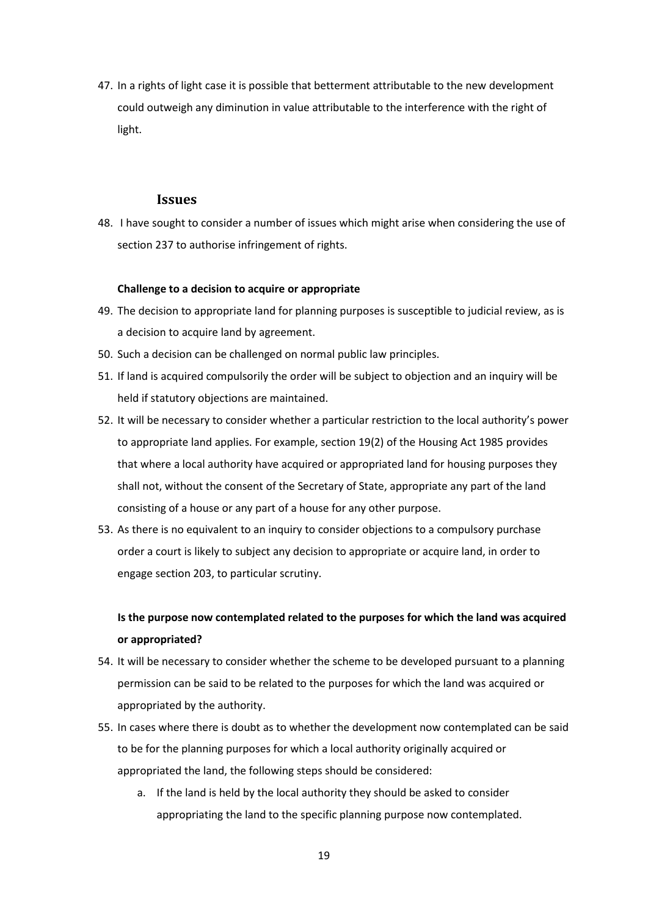47. In a rights of light case it is possible that betterment attributable to the new development could outweigh any diminution in value attributable to the interference with the right of light.

## **Issues**

48. I have sought to consider a number of issues which might arise when considering the use of section 237 to authorise infringement of rights.

## **Challenge to a decision to acquire or appropriate**

- 49. The decision to appropriate land for planning purposes is susceptible to judicial review, as is a decision to acquire land by agreement.
- 50. Such a decision can be challenged on normal public law principles.
- 51. If land is acquired compulsorily the order will be subject to objection and an inquiry will be held if statutory objections are maintained.
- 52. It will be necessary to consider whether a particular restriction to the local authority's power to appropriate land applies. For example, section 19(2) of the Housing Act 1985 provides that where a local authority have acquired or appropriated land for housing purposes they shall not, without the consent of the Secretary of State, appropriate any part of the land consisting of a house or any part of a house for any other purpose.
- 53. As there is no equivalent to an inquiry to consider objections to a compulsory purchase order a court is likely to subject any decision to appropriate or acquire land, in order to engage section 203, to particular scrutiny.

# **Is the purpose now contemplated related to the purposes for which the land was acquired or appropriated?**

- 54. It will be necessary to consider whether the scheme to be developed pursuant to a planning permission can be said to be related to the purposes for which the land was acquired or appropriated by the authority.
- 55. In cases where there is doubt as to whether the development now contemplated can be said to be for the planning purposes for which a local authority originally acquired or appropriated the land, the following steps should be considered:
	- a. If the land is held by the local authority they should be asked to consider appropriating the land to the specific planning purpose now contemplated.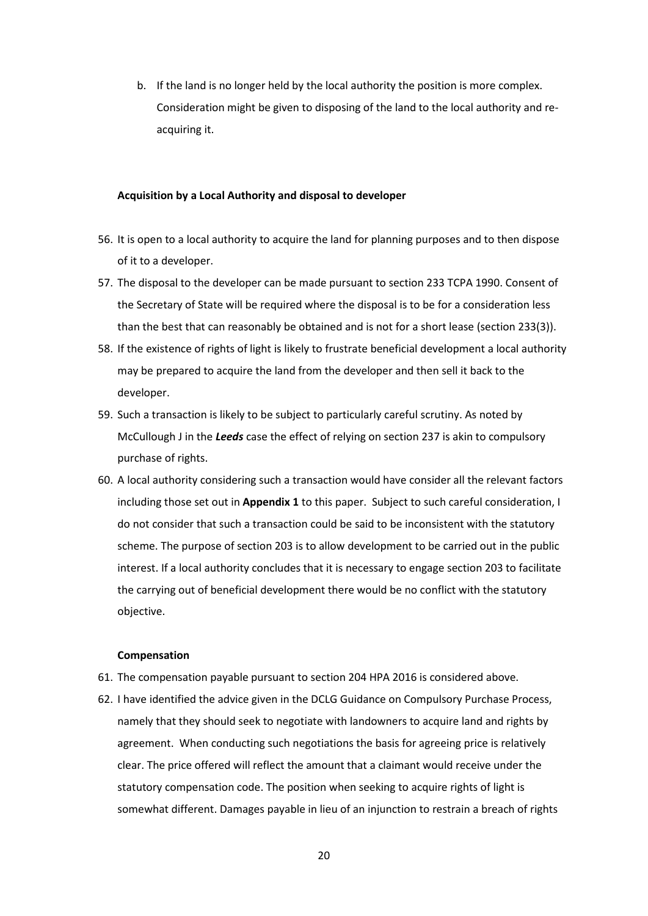b. If the land is no longer held by the local authority the position is more complex. Consideration might be given to disposing of the land to the local authority and reacquiring it.

### **Acquisition by a Local Authority and disposal to developer**

- 56. It is open to a local authority to acquire the land for planning purposes and to then dispose of it to a developer.
- 57. The disposal to the developer can be made pursuant to section 233 TCPA 1990. Consent of the Secretary of State will be required where the disposal is to be for a consideration less than the best that can reasonably be obtained and is not for a short lease (section 233(3)).
- 58. If the existence of rights of light is likely to frustrate beneficial development a local authority may be prepared to acquire the land from the developer and then sell it back to the developer.
- 59. Such a transaction is likely to be subject to particularly careful scrutiny. As noted by McCullough J in the *Leeds* case the effect of relying on section 237 is akin to compulsory purchase of rights.
- 60. A local authority considering such a transaction would have consider all the relevant factors including those set out in **Appendix 1** to this paper. Subject to such careful consideration, I do not consider that such a transaction could be said to be inconsistent with the statutory scheme. The purpose of section 203 is to allow development to be carried out in the public interest. If a local authority concludes that it is necessary to engage section 203 to facilitate the carrying out of beneficial development there would be no conflict with the statutory objective.

#### **Compensation**

- 61. The compensation payable pursuant to section 204 HPA 2016 is considered above.
- 62. I have identified the advice given in the DCLG Guidance on Compulsory Purchase Process, namely that they should seek to negotiate with landowners to acquire land and rights by agreement. When conducting such negotiations the basis for agreeing price is relatively clear. The price offered will reflect the amount that a claimant would receive under the statutory compensation code. The position when seeking to acquire rights of light is somewhat different. Damages payable in lieu of an injunction to restrain a breach of rights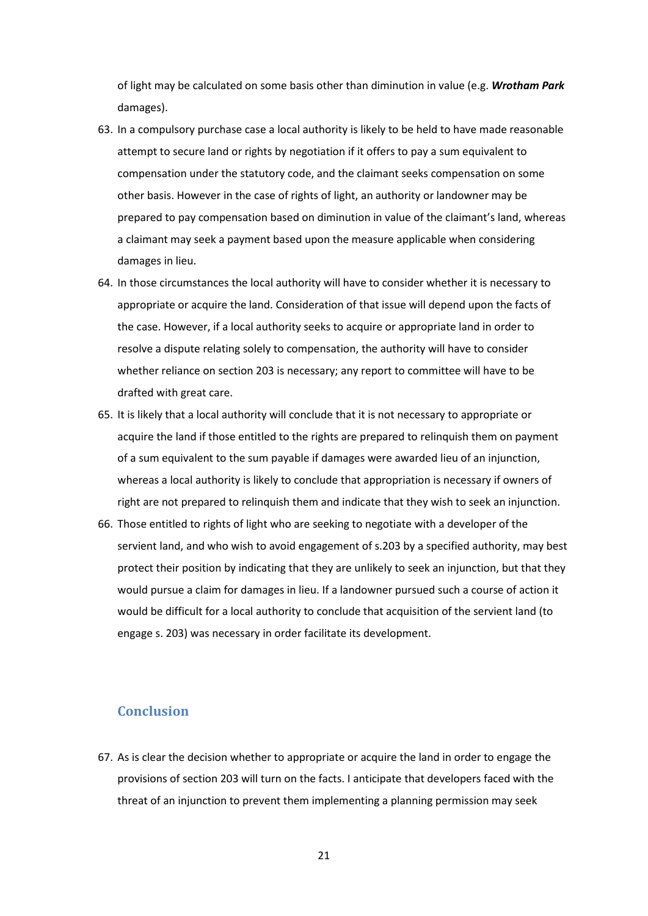of light may be calculated on some basis other than diminution in value (e.g. *Wrotham Park* damages).

- 63. In a compulsory purchase case a local authority is likely to be held to have made reasonable attempt to secure land or rights by negotiation if it offers to pay a sum equivalent to compensation under the statutory code, and the claimant seeks compensation on some other basis. However in the case of rights of light, an authority or landowner may be prepared to pay compensation based on diminution in value of the claimant's land, whereas a claimant may seek a payment based upon the measure applicable when considering damages in lieu.
- 64. In those circumstances the local authority will have to consider whether it is necessary to appropriate or acquire the land. Consideration of that issue will depend upon the facts of the case. However, if a local authority seeks to acquire or appropriate land in order to resolve a dispute relating solely to compensation, the authority will have to consider whether reliance on section 203 is necessary; any report to committee will have to be drafted with great care.
- 65. It is likely that a local authority will conclude that it is not necessary to appropriate or acquire the land if those entitled to the rights are prepared to relinquish them on payment of a sum equivalent to the sum payable if damages were awarded lieu of an injunction, whereas a local authority is likely to conclude that appropriation is necessary if owners of right are not prepared to relinquish them and indicate that they wish to seek an injunction.
- 66. Those entitled to rights of light who are seeking to negotiate with a developer of the servient land, and who wish to avoid engagement of s.203 by a specified authority, may best protect their position by indicating that they are unlikely to seek an injunction, but that they would pursue a claim for damages in lieu. If a landowner pursued such a course of action it would be difficult for a local authority to conclude that acquisition of the servient land (to engage s. 203) was necessary in order facilitate its development.

## **Conclusion**

67. As is clear the decision whether to appropriate or acquire the land in order to engage the provisions of section 203 will turn on the facts. I anticipate that developers faced with the threat of an injunction to prevent them implementing a planning permission may seek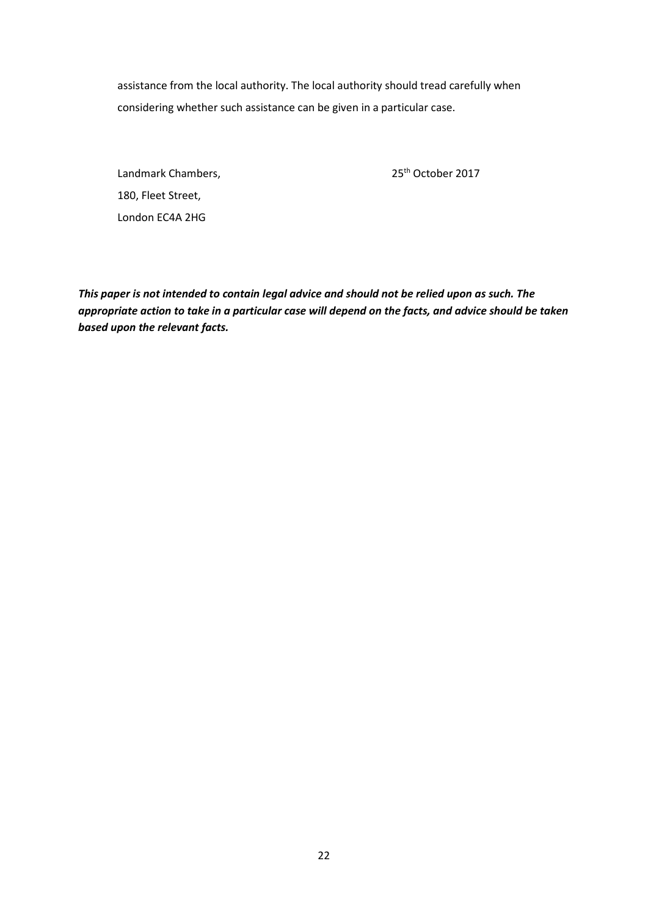assistance from the local authority. The local authority should tread carefully when considering whether such assistance can be given in a particular case.

Landmark Chambers, 25<sup>th</sup> October 2017 180, Fleet Street, London EC4A 2HG

*This paper is not intended to contain legal advice and should not be relied upon as such. The appropriate action to take in a particular case will depend on the facts, and advice should be taken based upon the relevant facts.*